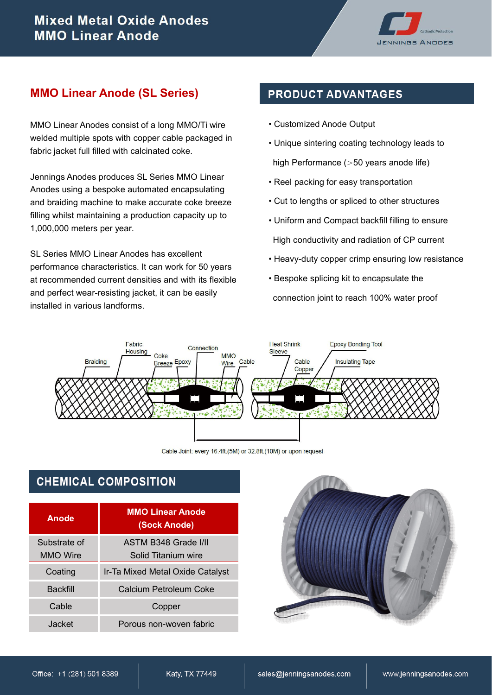

### **MMO Linear Anode (SL Series)**

MMO Linear Anodes consist of a long MMO/Ti wire welded multiple spots with copper cable packaged in fabric jacket full filled with calcinated coke.

Jennings Anodes produces SL Series MMO Linear Anodes using a bespoke automated encapsulating and braiding machine to make accurate coke breeze filling whilst maintaining a production capacity up to 1,000,000 meters per year.

SL Series MMO Linear Anodes has excellent performance characteristics. It can work for 50 years at recommended current densities and with its flexible and perfect wear-resisting jacket, it can be easily installed in various landforms.

## **PRODUCT ADVANTAGES**

- Customized Anode Output
- Unique sintering coating technology leads to

high Performance (>50 years anode life)

- Reel packing for easy transportation
- Cut to lengths or spliced to other structures
- Uniform and Compact backfill filling to ensure High conductivity and radiation of CP current
- Heavy-duty copper crimp ensuring low resistance
- Bespoke splicing kit to encapsulate the

connection joint to reach 100% water proof



Cable Joint: every 16.4ft.(5M) or 32.8ft.(10M) or upon request

## **CHEMICAL COMPOSITION**

| Anode                           | <b>MMO Linear Anode</b><br>(Sock Anode)     |  |  |
|---------------------------------|---------------------------------------------|--|--|
| Substrate of<br><b>MMO</b> Wire | ASTM B348 Grade I/II<br>Solid Titanium wire |  |  |
| Coating                         | Ir-Ta Mixed Metal Oxide Catalyst            |  |  |
| Backfill                        | Calcium Petroleum Coke                      |  |  |
| Cable                           | Copper                                      |  |  |
| Jacket                          | Porous non-woven fabric                     |  |  |

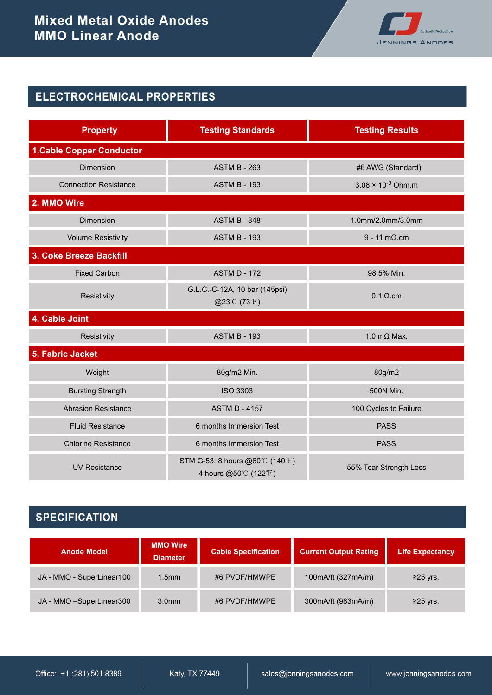

# ELECTROCHEMICAL PROPERTIES

| <b>Property</b>                 | <b>Testing Standards</b>                               | <b>Testing Results</b>              |  |  |
|---------------------------------|--------------------------------------------------------|-------------------------------------|--|--|
| <b>1.Cable Copper Conductor</b> |                                                        |                                     |  |  |
| <b>Dimension</b>                | <b>ASTM B - 263</b>                                    | #6 AWG (Standard)                   |  |  |
| <b>Connection Resistance</b>    | <b>ASTM B - 193</b>                                    | $3.08 \times 10^{-3}$ Ohm.m         |  |  |
| 2. MMO Wire                     |                                                        |                                     |  |  |
| <b>Dimension</b>                | <b>ASTM B - 348</b>                                    | 1.0mm/2.0mm/3.0mm                   |  |  |
| <b>Volume Resistivity</b>       | <b>ASTM B - 193</b>                                    | $9 - 11 \text{ m}\Omega \text{ cm}$ |  |  |
| 3. Coke Breeze Backfill         |                                                        |                                     |  |  |
| <b>Fixed Carbon</b>             | <b>ASTM D - 172</b>                                    | 98.5% Min.                          |  |  |
| Resistivity                     | G.L.C.-C-12A, 10 bar (145psi)<br>@23℃ (73°F)           | $0.1 \Omega$ .cm                    |  |  |
| 4. Cable Joint                  |                                                        |                                     |  |  |
| Resistivity                     | <b>ASTM B - 193</b>                                    | 1.0 m $\Omega$ Max.                 |  |  |
| 5. Fabric Jacket                |                                                        |                                     |  |  |
| Weight                          | 80g/m2 Min.                                            | 80g/m2                              |  |  |
| <b>Bursting Strength</b>        | <b>ISO 3303</b>                                        | 500N Min.                           |  |  |
| <b>Abrasion Resistance</b>      | <b>ASTM D - 4157</b>                                   | 100 Cycles to Failure               |  |  |
| <b>Fluid Resistance</b>         | 6 months Immersion Test<br><b>PASS</b>                 |                                     |  |  |
| <b>Chlorine Resistance</b>      | 6 months Immersion Test                                | <b>PASS</b>                         |  |  |
| <b>UV Resistance</b>            | STM G-53: 8 hours @60℃ (140°F)<br>4 hours @50℃ (122°F) | 55% Tear Strength Loss              |  |  |

# **SPECIFICATION**

| <b>Anode Model</b>         | <b>MMO Wire</b><br><b>Diameter</b> | <b>Cable Specification</b><br><b>Current Output Rating</b> |                        | <b>Life Expectancy</b> |
|----------------------------|------------------------------------|------------------------------------------------------------|------------------------|------------------------|
| JA - MMO - SuperLinear100  | $1.5$ mm                           | #6 PVDF/HMWPE                                              | 100mA/ft (327mA/m)     | $≥25$ yrs.             |
| JA - MMO - SuperLinear 300 | 3.0 <sub>mm</sub>                  | #6 PVDF/HMWPE                                              | 300 m A/ft (983 m A/m) | $≥25$ yrs.             |